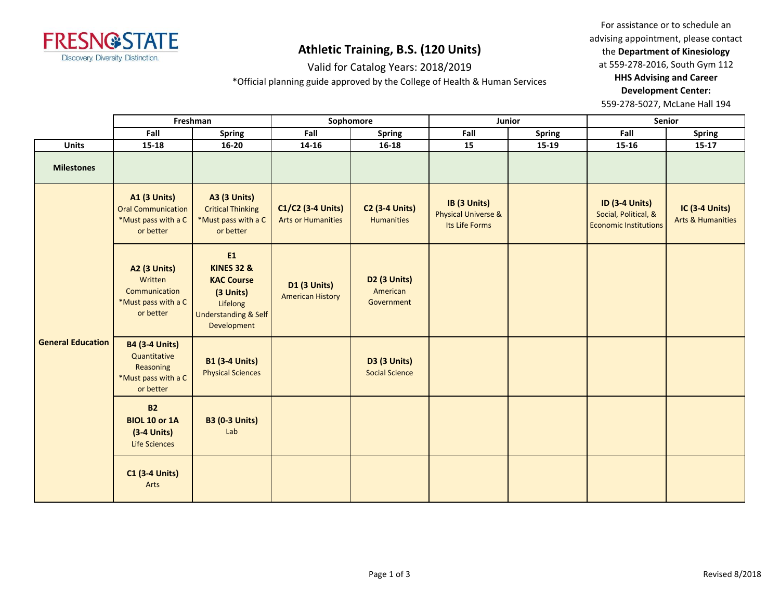

# **Athletic Training, B.S. (120 Units)**

Valid for Catalog Years: 2018/2019

\*Official planning guide approved by the College of Health & Human Services

For assistance or to schedule an advising appointment, please contact the **Department of Kinesiology** at 559-278-2016, South Gym 112

**HHS Advising and Career Development Center:** 

559-278-5027, McLane Hall 194

|                          | Freshman                                                                               |                                                                                                                                    | Sophomore                                      |                                              | Junior                                                           |               | Senior                                                                        |                                                       |
|--------------------------|----------------------------------------------------------------------------------------|------------------------------------------------------------------------------------------------------------------------------------|------------------------------------------------|----------------------------------------------|------------------------------------------------------------------|---------------|-------------------------------------------------------------------------------|-------------------------------------------------------|
|                          | Fall                                                                                   | <b>Spring</b>                                                                                                                      | Fall                                           | <b>Spring</b>                                | Fall                                                             | <b>Spring</b> | Fall                                                                          | <b>Spring</b>                                         |
| <b>Units</b>             | $15 - 18$                                                                              | $16 - 20$                                                                                                                          | $14 - 16$                                      | $16 - 18$                                    | 15                                                               | 15-19         | $15 - 16$                                                                     | $15-17$                                               |
| <b>Milestones</b>        |                                                                                        |                                                                                                                                    |                                                |                                              |                                                                  |               |                                                                               |                                                       |
| <b>General Education</b> | <b>A1 (3 Units)</b><br><b>Oral Communication</b><br>*Must pass with a C<br>or better   | <b>A3 (3 Units)</b><br><b>Critical Thinking</b><br>*Must pass with a C<br>or better                                                | C1/C2 (3-4 Units)<br><b>Arts or Humanities</b> | <b>C2 (3-4 Units)</b><br><b>Humanities</b>   | IB (3 Units)<br><b>Physical Universe &amp;</b><br>Its Life Forms |               | <b>ID (3-4 Units)</b><br>Social, Political, &<br><b>Economic Institutions</b> | <b>IC (3-4 Units)</b><br><b>Arts &amp; Humanities</b> |
|                          | A2 (3 Units)<br>Written<br>Communication<br>*Must pass with a C<br>or better           | E1<br><b>KINES 32 &amp;</b><br><b>KAC Course</b><br>(3 Units)<br>Lifelong<br><b>Understanding &amp; Self</b><br><b>Development</b> | <b>D1 (3 Units)</b><br><b>American History</b> | D2 (3 Units)<br>American<br>Government       |                                                                  |               |                                                                               |                                                       |
|                          | <b>B4 (3-4 Units)</b><br>Quantitative<br>Reasoning<br>*Must pass with a C<br>or better | <b>B1 (3-4 Units)</b><br><b>Physical Sciences</b>                                                                                  |                                                | <b>D3 (3 Units)</b><br><b>Social Science</b> |                                                                  |               |                                                                               |                                                       |
|                          | <b>B2</b><br><b>BIOL 10 or 1A</b><br>$(3-4$ Units)<br><b>Life Sciences</b>             | <b>B3 (0-3 Units)</b><br>Lab                                                                                                       |                                                |                                              |                                                                  |               |                                                                               |                                                       |
|                          | <b>C1 (3-4 Units)</b><br>Arts                                                          |                                                                                                                                    |                                                |                                              |                                                                  |               |                                                                               |                                                       |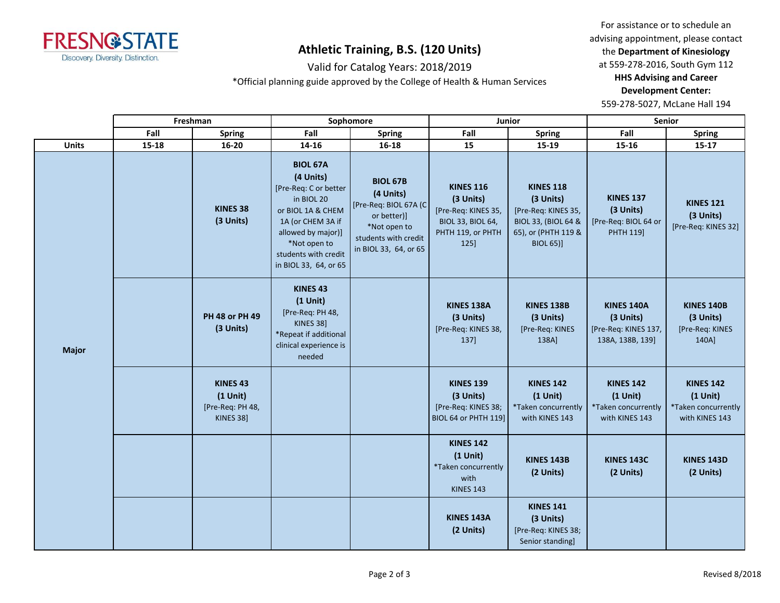

### **Athletic Training, B.S. (120 Units)**

Valid for Catalog Years: 2018/2019

\*Official planning guide approved by the College of Health & Human Services

For assistance or to schedule an advising appointment, please contact the **Department of Kinesiology** at 559-278-2016, South Gym 112

**HHS Advising and Career Development Center:** 

559-278-5027, McLane Hall 194

|              | Freshman  |                                                                           | Sophomore                                                                                                                                                                                            |                                                                                                                                       | Junior                                                                                                        |                                                                                                                                   | <b>Senior</b>                                                              |                                                                         |
|--------------|-----------|---------------------------------------------------------------------------|------------------------------------------------------------------------------------------------------------------------------------------------------------------------------------------------------|---------------------------------------------------------------------------------------------------------------------------------------|---------------------------------------------------------------------------------------------------------------|-----------------------------------------------------------------------------------------------------------------------------------|----------------------------------------------------------------------------|-------------------------------------------------------------------------|
|              | Fall      | <b>Spring</b>                                                             | Fall                                                                                                                                                                                                 | <b>Spring</b>                                                                                                                         | Fall                                                                                                          | <b>Spring</b>                                                                                                                     | Fall                                                                       | <b>Spring</b>                                                           |
| <b>Units</b> | $15 - 18$ | $16 - 20$                                                                 | 14-16                                                                                                                                                                                                | $16 - 18$                                                                                                                             | 15                                                                                                            | 15-19                                                                                                                             | $15 - 16$                                                                  | $15 - 17$                                                               |
| <b>Major</b> |           | KINES 38<br>(3 Units)                                                     | <b>BIOL 67A</b><br>(4 Units)<br>[Pre-Req: C or better<br>in BIOL 20<br>or BIOL 1A & CHEM<br>1A (or CHEM 3A if<br>allowed by major)]<br>*Not open to<br>students with credit<br>in BIOL 33, 64, or 65 | <b>BIOL 67B</b><br>(4 Units)<br>[Pre-Req: BIOL 67A (C<br>or better)]<br>*Not open to<br>students with credit<br>in BIOL 33, 64, or 65 | <b>KINES 116</b><br>(3 Units)<br>[Pre-Req: KINES 35,<br><b>BIOL 33, BIOL 64,</b><br>PHTH 119, or PHTH<br>125] | <b>KINES 118</b><br>(3 Units)<br>[Pre-Req: KINES 35,<br><b>BIOL 33, (BIOL 64 &amp;</b><br>65), or (PHTH 119 &<br><b>BIOL 65)]</b> | <b>KINES 137</b><br>(3 Units)<br>[Pre-Req: BIOL 64 or<br>PHTH 119]         | <b>KINES 121</b><br>(3 Units)<br>[Pre-Req: KINES 32]                    |
|              |           | PH 48 or PH 49<br>(3 Units)                                               | <b>KINES 43</b><br>$(1$ Unit)<br>[Pre-Req: PH 48,<br>KINES 38]<br>*Repeat if additional<br>clinical experience is<br>needed                                                                          |                                                                                                                                       | KINES 138A<br>(3 Units)<br>[Pre-Req: KINES 38,<br>137]                                                        | <b>KINES 138B</b><br>(3 Units)<br>[Pre-Req: KINES<br>138A]                                                                        | <b>KINES 140A</b><br>(3 Units)<br>[Pre-Req: KINES 137,<br>138A, 138B, 139] | <b>KINES 140B</b><br>(3 Units)<br>[Pre-Req: KINES<br>140A]              |
|              |           | KINES <sub>43</sub><br>$(1$ Unit)<br>[Pre-Req: PH 48,<br><b>KINES 38]</b> |                                                                                                                                                                                                      |                                                                                                                                       | <b>KINES 139</b><br>(3 Units)<br>[Pre-Req: KINES 38;<br><b>BIOL 64 or PHTH 119]</b>                           | <b>KINES 142</b><br>$(1$ Unit)<br>*Taken concurrently<br>with KINES 143                                                           | <b>KINES 142</b><br>$(1$ Unit)<br>*Taken concurrently<br>with KINES 143    | <b>KINES 142</b><br>$(1$ Unit)<br>*Taken concurrently<br>with KINES 143 |
|              |           |                                                                           |                                                                                                                                                                                                      |                                                                                                                                       | <b>KINES 142</b><br>$(1$ Unit)<br>*Taken concurrently<br>with<br><b>KINES 143</b>                             | KINES 143B<br>(2 Units)                                                                                                           | <b>KINES 143C</b><br>(2 Units)                                             | <b>KINES 143D</b><br>(2 Units)                                          |
|              |           |                                                                           |                                                                                                                                                                                                      |                                                                                                                                       | KINES 143A<br>(2 Units)                                                                                       | <b>KINES 141</b><br>(3 Units)<br>[Pre-Req: KINES 38;<br>Senior standing]                                                          |                                                                            |                                                                         |